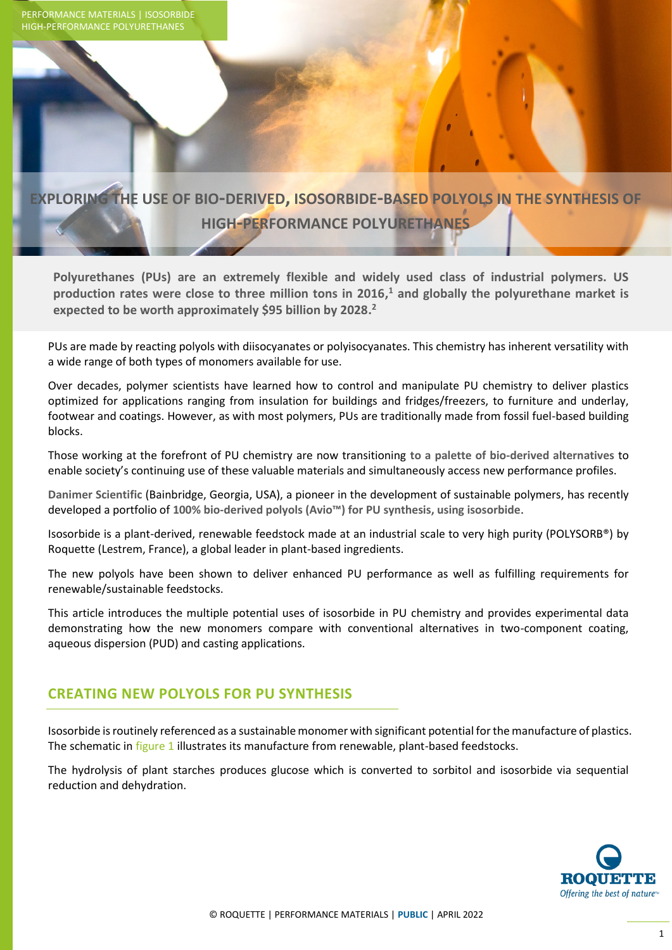

# **EXPLORING THE USE OF BIO-DERIVED, ISOSORBIDE-BASED POLYOLS IN THE SYNTHESIS OF HIGH-PERFORMANCE POLYURETHANES**

**Polyurethanes (PUs) are an extremely flexible and widely used class of industrial polymers. US production rates were close to three million tons in 2016, <sup>1</sup> and globally the polyurethane market is expected to be worth approximately \$95 billion by 2028. 2**

PUs are made by reacting polyols with diisocyanates or polyisocyanates. This chemistry has inherent versatility with a wide range of both types of monomers available for use.

Over decades, polymer scientists have learned how to control and manipulate PU chemistry to deliver plastics optimized for applications ranging from insulation for buildings and fridges/freezers, to furniture and underlay, footwear and coatings. However, as with most polymers, PUs are traditionally made from fossil fuel-based building blocks.

Those working at the forefront of PU chemistry are now transitioning **to a palette of bio-derived alternatives** to enable society's continuing use of these valuable materials and simultaneously access new performance profiles.

**Danimer Scientific** (Bainbridge, Georgia, USA), a pioneer in the development of sustainable polymers, has recently developed a portfolio of **100% bio-derived polyols (Avio™) for PU synthesis, using isosorbide**.

Isosorbide is a plant-derived, renewable feedstock made at an industrial scale to very high purity (POLYSORB®) by Roquette (Lestrem, France), a global leader in plant-based ingredients.

The new polyols have been shown to deliver enhanced PU performance as well as fulfilling requirements for renewable/sustainable feedstocks.

This article introduces the multiple potential uses of isosorbide in PU chemistry and provides experimental data demonstrating how the new monomers compare with conventional alternatives in two-component coating, aqueous dispersion (PUD) and casting applications.

## **CREATING NEW POLYOLS FOR PU SYNTHESIS**

Isosorbide is routinely referenced as a sustainable monomer with significant potential for the manufacture of plastics. The schematic in figure 1 illustrates its manufacture from renewable, plant-based feedstocks.

The hydrolysis of plant starches produces glucose which is converted to sorbitol and isosorbide via sequential reduction and dehydration.

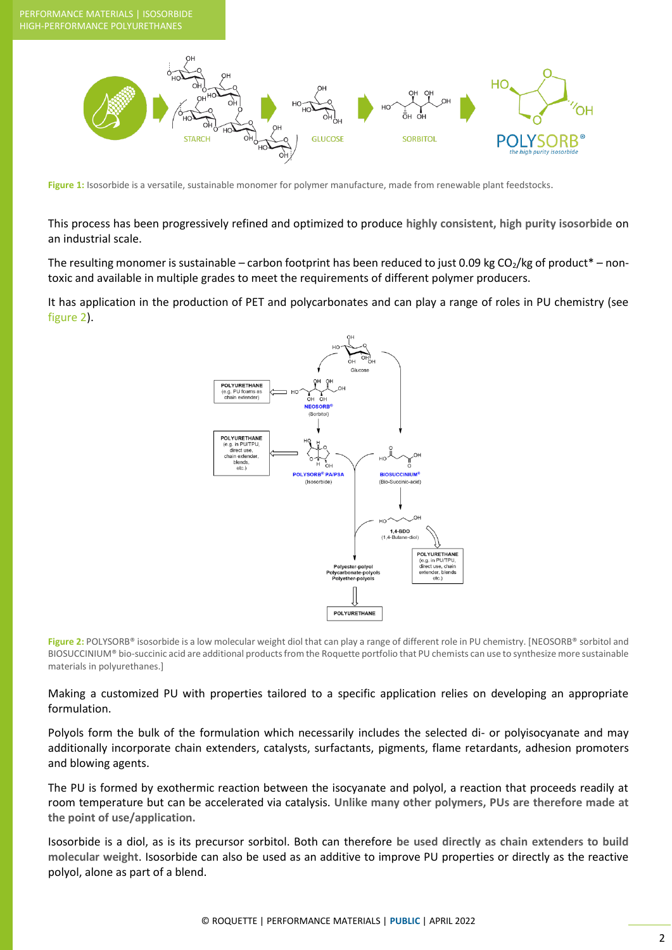

Figure 1: Isosorbide is a versatile, sustainable monomer for polymer manufacture, made from renewable plant feedstocks.

This process has been progressively refined and optimized to produce **highly consistent, high purity isosorbide** on an industrial scale.

The resulting monomer is sustainable – carbon footprint has been reduced to just 0.09 kg CO<sub>2</sub>/kg of product\* – nontoxic and available in multiple grades to meet the requirements of different polymer producers.

It has application in the production of PET and polycarbonates and can play a range of roles in PU chemistry (see figure 2).



Figure 2: POLYSORB® isosorbide is a low molecular weight diol that can play a range of different role in PU chemistry. [NEOSORB® sorbitol and BIOSUCCINIUM® bio-succinic acid are additional products from the Roquette portfolio that PU chemists can use to synthesize more sustainable materials in polyurethanes.]

Making a customized PU with properties tailored to a specific application relies on developing an appropriate formulation.

Polyols form the bulk of the formulation which necessarily includes the selected di- or polyisocyanate and may additionally incorporate chain extenders, catalysts, surfactants, pigments, flame retardants, adhesion promoters and blowing agents.

The PU is formed by exothermic reaction between the isocyanate and polyol, a reaction that proceeds readily at room temperature but can be accelerated via catalysis. **Unlike many other polymers, PUs are therefore made at the point of use/application.** 

Isosorbide is a diol, as is its precursor sorbitol. Both can therefore **be used directly as chain extenders to build molecular weight**. Isosorbide can also be used as an additive to improve PU properties or directly as the reactive polyol, alone as part of a blend.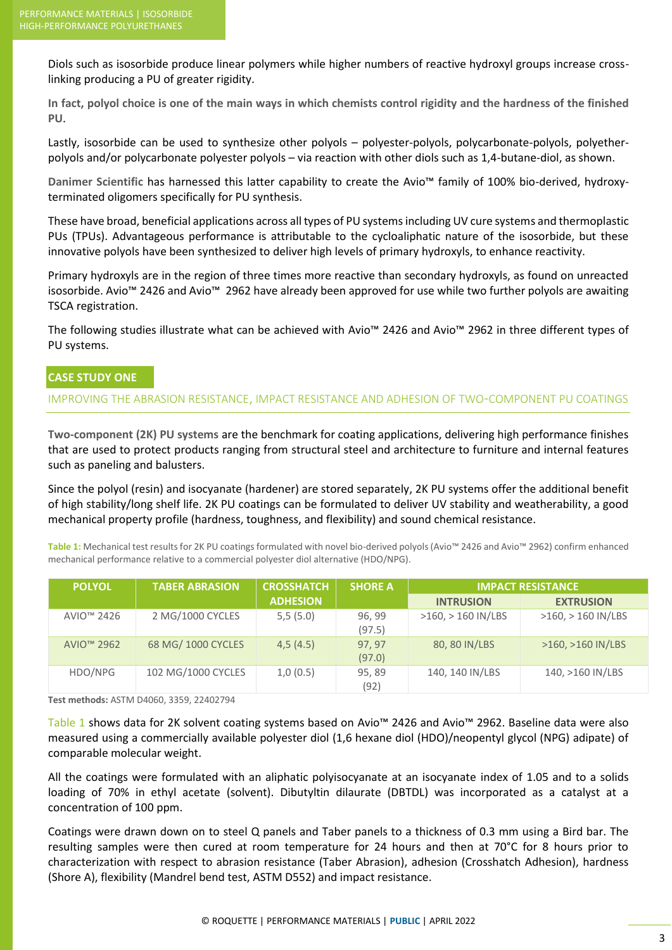Diols such as isosorbide produce linear polymers while higher numbers of reactive hydroxyl groups increase crosslinking producing a PU of greater rigidity.

**In fact, polyol choice is one of the main ways in which chemists control rigidity and the hardness of the finished PU**.

Lastly, isosorbide can be used to synthesize other polyols – polyester-polyols, polycarbonate-polyols, polyetherpolyols and/or polycarbonate polyester polyols – via reaction with other diols such as 1,4-butane-diol, as shown.

**Danimer Scientific** has harnessed this latter capability to create the Avio™ family of 100% bio-derived, hydroxyterminated oligomers specifically for PU synthesis.

These have broad, beneficial applications across all types of PU systems including UV cure systems and thermoplastic PUs (TPUs). Advantageous performance is attributable to the cycloaliphatic nature of the isosorbide, but these innovative polyols have been synthesized to deliver high levels of primary hydroxyls, to enhance reactivity.

Primary hydroxyls are in the region of three times more reactive than secondary hydroxyls, as found on unreacted isosorbide. Avio™ 2426 and Avio™ 2962 have already been approved for use while two further polyols are awaiting TSCA registration.

The following studies illustrate what can be achieved with Avio™ 2426 and Avio™ 2962 in three different types of PU systems.

#### **CASE STUDY ONE**

#### IMPROVING THE ABRASION RESISTANCE, IMPACT RESISTANCE AND ADHESION OF TWO-COMPONENT PU COATINGS

**Two-component (2K) PU systems** are the benchmark for coating applications, delivering high performance finishes that are used to protect products ranging from structural steel and architecture to furniture and internal features such as paneling and balusters.

Since the polyol (resin) and isocyanate (hardener) are stored separately, 2K PU systems offer the additional benefit of high stability/long shelf life. 2K PU coatings can be formulated to deliver UV stability and weatherability, a good mechanical property profile (hardness, toughness, and flexibility) and sound chemical resistance.

**Table 1:** Mechanical test results for 2K PU coatings formulated with novel bio-derived polyols (Avio™ 2426 and Avio™ 2962) confirm enhanced mechanical performance relative to a commercial polyester diol alternative (HDO/NPG).

| <b>POLYOL</b>          | <b>TABER ABRASION</b> | <b>CROSSHATCH</b> | <b>SHORE A</b>   | <b>IMPACT RESISTANCE</b> |                        |
|------------------------|-----------------------|-------------------|------------------|--------------------------|------------------------|
|                        |                       | <b>ADHESION</b>   |                  | <b>INTRUSION</b>         | <b>EXTRUSION</b>       |
| AVIO <sup>™</sup> 2426 | 2 MG/1000 CYCLES      | 5,5(5.0)          | 96, 99<br>(97.5) | $>160$ , $>160$ IN/LBS   | $>160$ , $>160$ IN/LBS |
| AVIO <sup>™</sup> 2962 | 68 MG/ 1000 CYCLES    | 4,5(4.5)          | 97, 97<br>(97.0) | 80, 80 IN/LBS            | >160, >160 IN/LBS      |
| HDO/NPG                | 102 MG/1000 CYCLES    | 1,0(0.5)          | 95,89<br>(92)    | 140, 140 IN/LBS          | 140, >160 IN/LBS       |

**Test methods:** ASTM D4060, 3359, 22402794

Table 1 shows data for 2K solvent coating systems based on Avio™ 2426 and Avio™ 2962. Baseline data were also measured using a commercially available polyester diol (1,6 hexane diol (HDO)/neopentyl glycol (NPG) adipate) of comparable molecular weight.

All the coatings were formulated with an aliphatic polyisocyanate at an isocyanate index of 1.05 and to a solids loading of 70% in ethyl acetate (solvent). Dibutyltin dilaurate (DBTDL) was incorporated as a catalyst at a concentration of 100 ppm.

Coatings were drawn down on to steel Q panels and Taber panels to a thickness of 0.3 mm using a Bird bar. The resulting samples were then cured at room temperature for 24 hours and then at 70°C for 8 hours prior to characterization with respect to abrasion resistance (Taber Abrasion), adhesion (Crosshatch Adhesion), hardness (Shore A), flexibility (Mandrel bend test, ASTM D552) and impact resistance.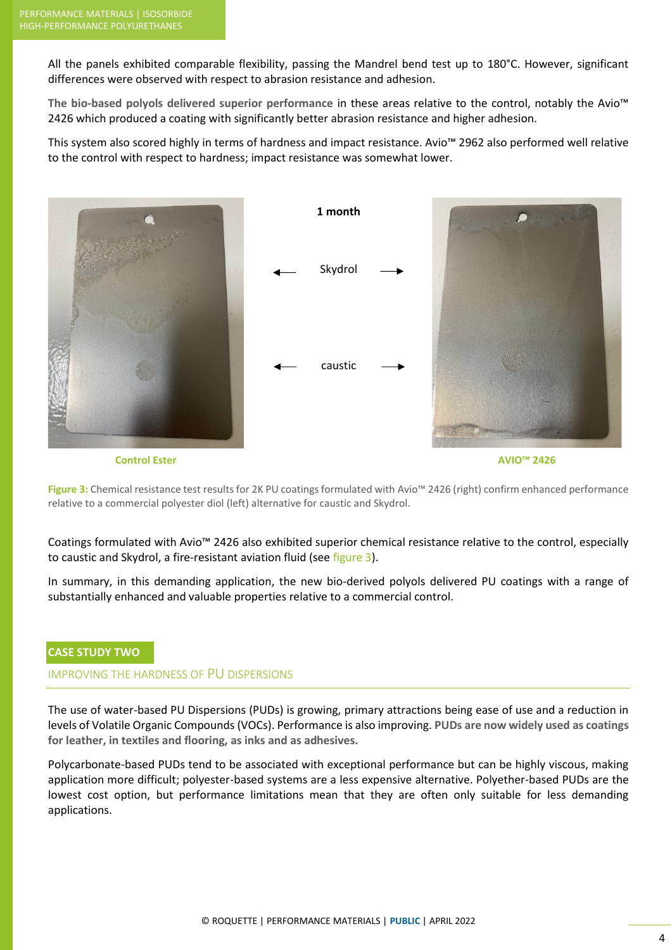All the panels exhibited comparable flexibility, passing the Mandrel bend test up to 180°C. However, significant differences were observed with respect to abrasion resistance and adhesion.

**The bio-based polyols delivered superior performance** in these areas relative to the control, notably the Avio™ 2426 which produced a coating with significantly better abrasion resistance and higher adhesion.

This system also scored highly in terms of hardness and impact resistance. Avio™ 2962 also performed well relative to the control with respect to hardness; impact resistance was somewhat lower.



**Figure 3:** Chemical resistance test results for 2K PU coatings formulated with Avio™ 2426 (right) confirm enhanced performance relative to a commercial polyester diol (left) alternative for caustic and Skydrol.

Coatings formulated with Avio™ 2426 also exhibited superior chemical resistance relative to the control, especially to caustic and Skydrol, a fire-resistant aviation fluid (see figure 3).

In summary, in this demanding application, the new bio-derived polyols delivered PU coatings with a range of substantially enhanced and valuable properties relative to a commercial control.

#### **CASE STUDY TWO**

#### IMPROVING THE HARDNESS OF PU DISPERSIONS

The use of water-based PU Dispersions (PUDs) is growing, primary attractions being ease of use and a reduction in levels of Volatile Organic Compounds (VOCs). Performance is also improving. **PUDs are now widely used as coatings for leather, in textiles and flooring, as inks and as adhesives.** 

Polycarbonate-based PUDs tend to be associated with exceptional performance but can be highly viscous, making application more difficult; polyester-based systems are a less expensive alternative. Polyether-based PUDs are the lowest cost option, but performance limitations mean that they are often only suitable for less demanding applications.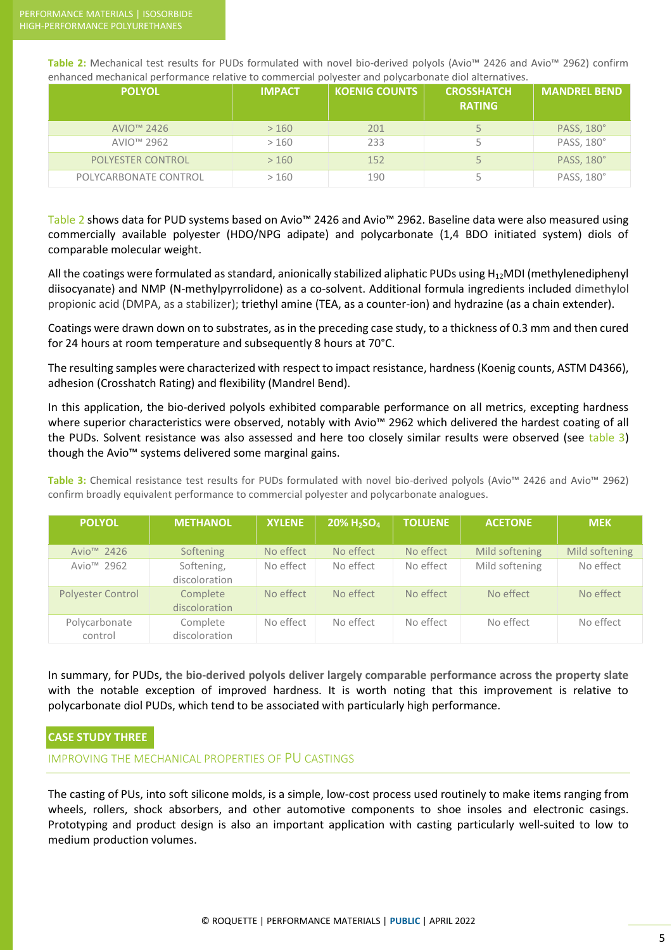**Table 2:** Mechanical test results for PUDs formulated with novel bio-derived polyols (Avio™ 2426 and Avio™ 2962) confirm enhanced mechanical performance relative to commercial polyester and polycarbonate diol alternatives.

| <b>POLYOL</b>          | <b>IMPACT</b> | <b>KOENIG COUNTS</b> | <b>CROSSHATCH</b><br><b>RATING</b> | <b>MANDREL BEND</b> |
|------------------------|---------------|----------------------|------------------------------------|---------------------|
| AVIO <sup>™</sup> 2426 | >160          | 201                  |                                    | PASS, 180°          |
| AVIO <sup>™</sup> 2962 | >160          | 233                  |                                    | PASS, 180°          |
| POLYESTER CONTROL      | >160          | 152                  |                                    | PASS, 180°          |
| POLYCARBONATE CONTROL  | >160          | 190                  |                                    | PASS, 180°          |

Table 2 shows data for PUD systems based on Avio™ 2426 and Avio™ 2962. Baseline data were also measured using commercially available polyester (HDO/NPG adipate) and polycarbonate (1,4 BDO initiated system) diols of comparable molecular weight.

All the coatings were formulated as standard, anionically stabilized aliphatic PUDs using  $H_{12}$ MDI (methylenediphenyl diisocyanate) and NMP (N-methylpyrrolidone) as a co-solvent. Additional formula ingredients included dimethylol propionic acid (DMPA, as a stabilizer); triethyl amine (TEA, as a counter-ion) and hydrazine (as a chain extender).

Coatings were drawn down on to substrates, as in the preceding case study, to a thickness of 0.3 mm and then cured for 24 hours at room temperature and subsequently 8 hours at 70°C.

The resulting samples were characterized with respect to impact resistance, hardness (Koenig counts, ASTM D4366), adhesion (Crosshatch Rating) and flexibility (Mandrel Bend).

In this application, the bio-derived polyols exhibited comparable performance on all metrics, excepting hardness where superior characteristics were observed, notably with Avio™ 2962 which delivered the hardest coating of all the PUDs. Solvent resistance was also assessed and here too closely similar results were observed (see table 3) though the Avio™ systems delivered some marginal gains.

**Table 3:** Chemical resistance test results for PUDs formulated with novel bio-derived polyols (Avio™ 2426 and Avio™ 2962) confirm broadly equivalent performance to commercial polyester and polycarbonate analogues.

| <b>POLYOL</b>            | <b>METHANOL</b>             | <b>XYLENE</b> | 20% H <sub>2</sub> SO <sub>4</sub> | <b>TOLUENE</b> | <b>ACETONE</b> | <b>MEK</b>     |
|--------------------------|-----------------------------|---------------|------------------------------------|----------------|----------------|----------------|
| Avio <sup>™</sup> 2426   | Softening                   | No effect     | No effect                          | No effect      | Mild softening | Mild softening |
| Avio <sup>™</sup> 2962   | Softening,<br>discoloration | No effect     | No effect                          | No effect      | Mild softening | No effect      |
| <b>Polyester Control</b> | Complete<br>discoloration   | No effect     | No effect                          | No effect      | No effect      | No effect      |
| Polycarbonate<br>control | Complete<br>discoloration   | No effect     | No effect                          | No effect      | No effect      | No effect      |

In summary, for PUDs, **the bio-derived polyols deliver largely comparable performance across the property slate** with the notable exception of improved hardness. It is worth noting that this improvement is relative to polycarbonate diol PUDs, which tend to be associated with particularly high performance.

### **CASE STUDY THREE**

IMPROVING THE MECHANICAL PROPERTIES OF PU CASTINGS

The casting of PUs, into soft silicone molds, is a simple, low-cost process used routinely to make items ranging from wheels, rollers, shock absorbers, and other automotive components to shoe insoles and electronic casings. Prototyping and product design is also an important application with casting particularly well-suited to low to medium production volumes.